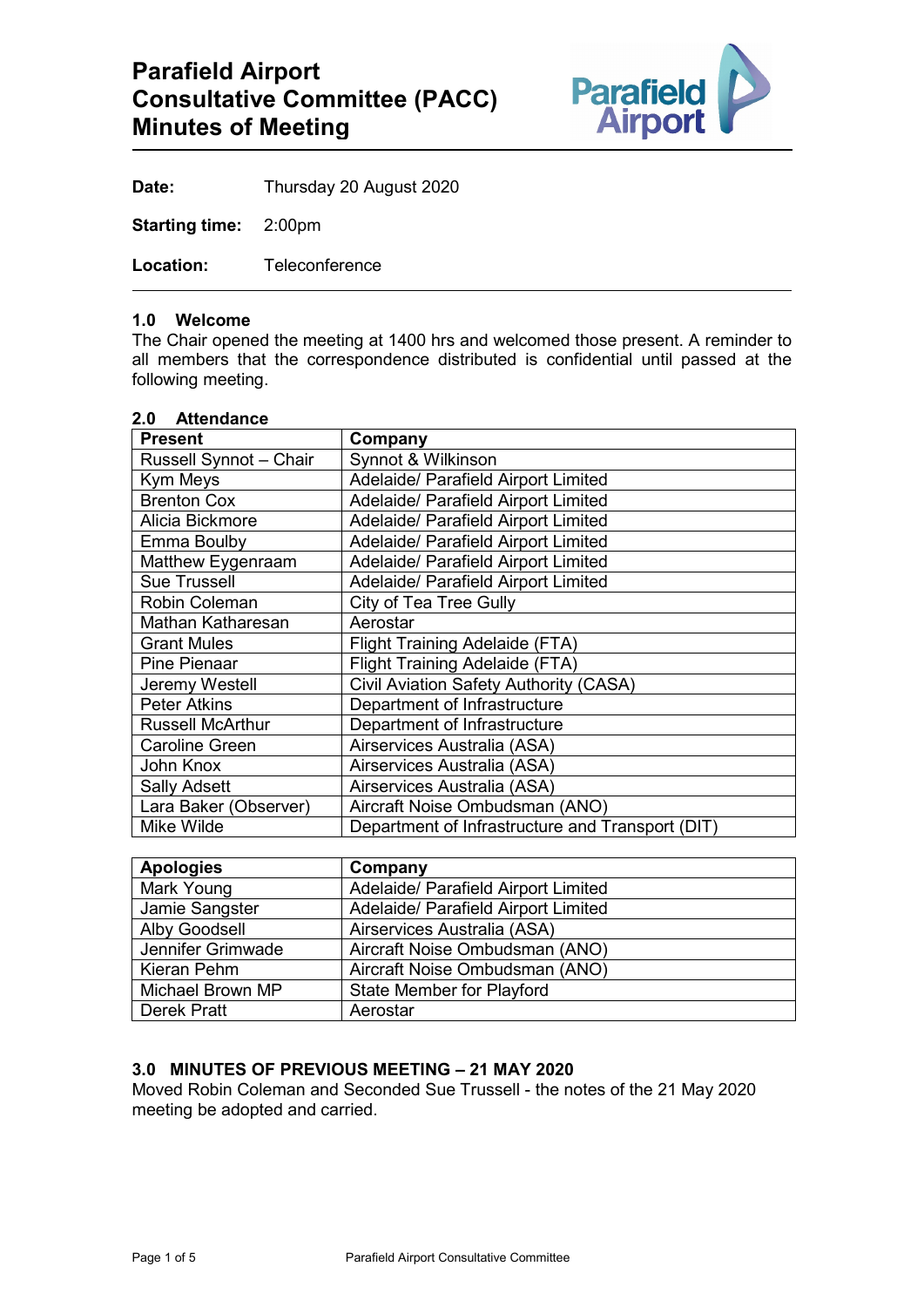

**Date:** Thursday 20 August 2020

**Starting time:** 2:00pm

**Location:** Teleconference

#### **1.0 Welcome**

The Chair opened the meeting at 1400 hrs and welcomed those present. A reminder to all members that the correspondence distributed is confidential until passed at the following meeting.

| 2.0 Attendance<br><b>Present</b> | Company                                          |
|----------------------------------|--------------------------------------------------|
| Russell Synnot - Chair           | Synnot & Wilkinson                               |
| Kym Meys                         | Adelaide/ Parafield Airport Limited              |
| <b>Brenton Cox</b>               | <b>Adelaide/ Parafield Airport Limited</b>       |
| Alicia Bickmore                  | <b>Adelaide/ Parafield Airport Limited</b>       |
| Emma Boulby                      | Adelaide/ Parafield Airport Limited              |
| Matthew Eygenraam                | <b>Adelaide/ Parafield Airport Limited</b>       |
| <b>Sue Trussell</b>              | Adelaide/ Parafield Airport Limited              |
| <b>Robin Coleman</b>             | City of Tea Tree Gully                           |
| Mathan Katharesan                | Aerostar                                         |
| <b>Grant Mules</b>               | <b>Flight Training Adelaide (FTA)</b>            |
| Pine Pienaar                     | <b>Flight Training Adelaide (FTA)</b>            |
| Jeremy Westell                   | Civil Aviation Safety Authority (CASA)           |
| <b>Peter Atkins</b>              | Department of Infrastructure                     |
| <b>Russell McArthur</b>          | Department of Infrastructure                     |
| <b>Caroline Green</b>            | Airservices Australia (ASA)                      |
| John Knox                        | Airservices Australia (ASA)                      |
| <b>Sally Adsett</b>              | Airservices Australia (ASA)                      |
| Lara Baker (Observer)            | Aircraft Noise Ombudsman (ANO)                   |
| Mike Wilde                       | Department of Infrastructure and Transport (DIT) |

| <b>Apologies</b>     | Company                             |
|----------------------|-------------------------------------|
| Mark Young           | Adelaide/ Parafield Airport Limited |
| Jamie Sangster       | Adelaide/ Parafield Airport Limited |
| <b>Alby Goodsell</b> | Airservices Australia (ASA)         |
| Jennifer Grimwade    | Aircraft Noise Ombudsman (ANO)      |
| Kieran Pehm          | Aircraft Noise Ombudsman (ANO)      |
| Michael Brown MP     | <b>State Member for Playford</b>    |
| Derek Pratt          | Aerostar                            |

## **3.0 MINUTES OF PREVIOUS MEETING – 21 MAY 2020**

Moved Robin Coleman and Seconded Sue Trussell - the notes of the 21 May 2020 meeting be adopted and carried.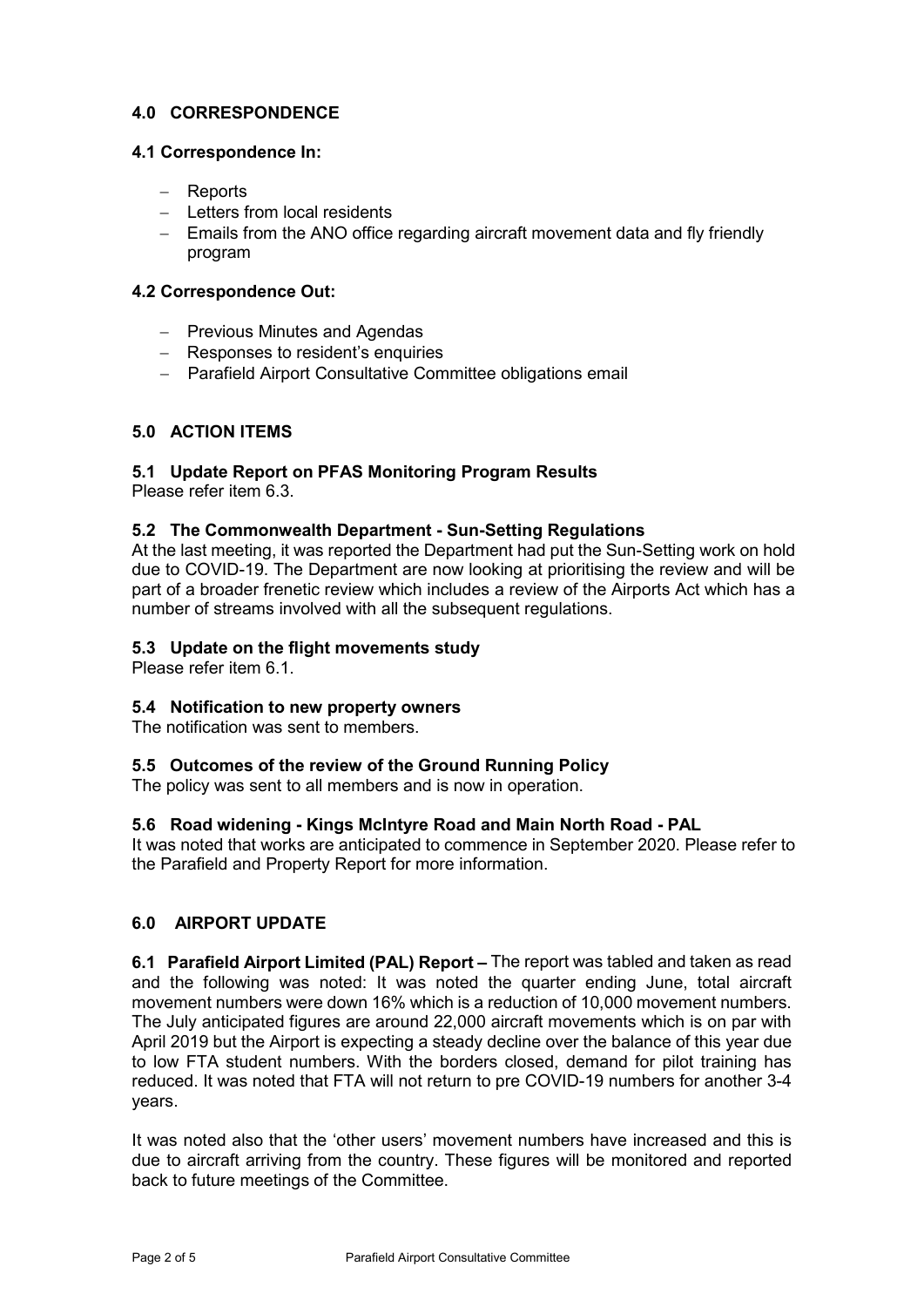## **4.0 CORRESPONDENCE**

## **4.1 Correspondence In:**

- − Reports
- − Letters from local residents
- − Emails from the ANO office regarding aircraft movement data and fly friendly program

## **4.2 Correspondence Out:**

- − Previous Minutes and Agendas
- − Responses to resident's enquiries
- − Parafield Airport Consultative Committee obligations email

## **5.0 ACTION ITEMS**

# **5.1 Update Report on PFAS Monitoring Program Results**

Please refer item 6.3.

#### **5.2 The Commonwealth Department - Sun-Setting Regulations**

At the last meeting, it was reported the Department had put the Sun-Setting work on hold due to COVID-19. The Department are now looking at prioritising the review and will be part of a broader frenetic review which includes a review of the Airports Act which has a number of streams involved with all the subsequent regulations.

#### **5.3 Update on the flight movements study**

Please refer item 6.1.

#### **5.4 Notification to new property owners**

The notification was sent to members.

#### **5.5 Outcomes of the review of the Ground Running Policy**

The policy was sent to all members and is now in operation.

## **5.6 Road widening - Kings McIntyre Road and Main North Road - PAL**

It was noted that works are anticipated to commence in September 2020. Please refer to the Parafield and Property Report for more information.

#### **6.0 AIRPORT UPDATE**

**6.1 Parafield Airport Limited (PAL) Report –** The report was tabled and taken as read and the following was noted: It was noted the quarter ending June, total aircraft movement numbers were down 16% which is a reduction of 10,000 movement numbers. The July anticipated figures are around 22,000 aircraft movements which is on par with April 2019 but the Airport is expecting a steady decline over the balance of this year due to low FTA student numbers. With the borders closed, demand for pilot training has reduced. It was noted that FTA will not return to pre COVID-19 numbers for another 3-4 years.

It was noted also that the 'other users' movement numbers have increased and this is due to aircraft arriving from the country. These figures will be monitored and reported back to future meetings of the Committee.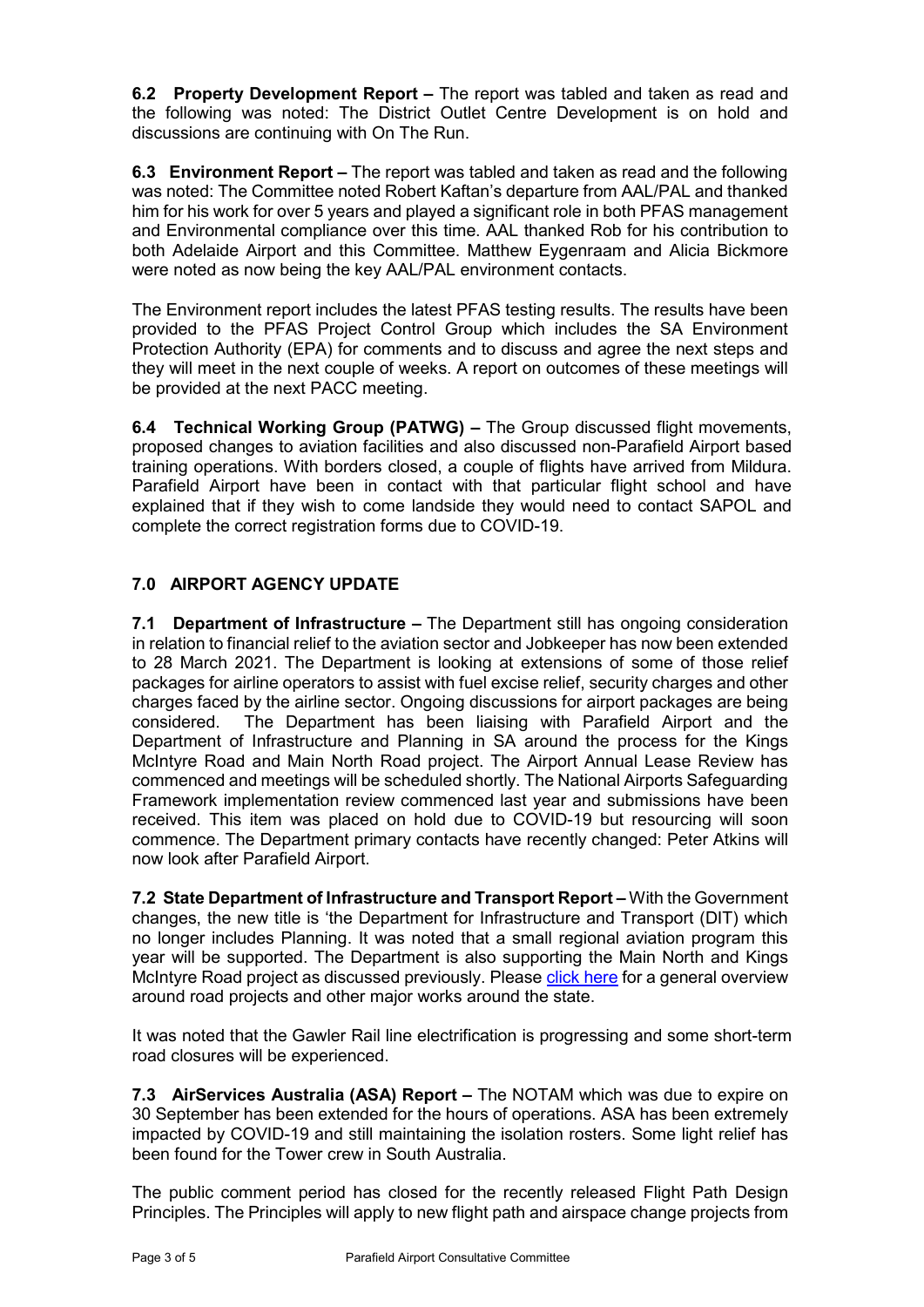**6.2 Property Development Report –** The report was tabled and taken as read and the following was noted: The District Outlet Centre Development is on hold and discussions are continuing with On The Run.

**6.3 Environment Report –** The report was tabled and taken as read and the following was noted: The Committee noted Robert Kaftan's departure from AAL/PAL and thanked him for his work for over 5 years and played a significant role in both PFAS management and Environmental compliance over this time. AAL thanked Rob for his contribution to both Adelaide Airport and this Committee. Matthew Eygenraam and Alicia Bickmore were noted as now being the key AAL/PAL environment contacts.

The Environment report includes the latest PFAS testing results. The results have been provided to the PFAS Project Control Group which includes the SA Environment Protection Authority (EPA) for comments and to discuss and agree the next steps and they will meet in the next couple of weeks. A report on outcomes of these meetings will be provided at the next PACC meeting.

**6.4 Technical Working Group (PATWG) –** The Group discussed flight movements, proposed changes to aviation facilities and also discussed non-Parafield Airport based training operations. With borders closed, a couple of flights have arrived from Mildura. Parafield Airport have been in contact with that particular flight school and have explained that if they wish to come landside they would need to contact SAPOL and complete the correct registration forms due to COVID-19.

# **7.0 AIRPORT AGENCY UPDATE**

**7.1 Department of Infrastructure –** The Department still has ongoing consideration in relation to financial relief to the aviation sector and Jobkeeper has now been extended to 28 March 2021. The Department is looking at extensions of some of those relief packages for airline operators to assist with fuel excise relief, security charges and other charges faced by the airline sector. Ongoing discussions for airport packages are being The Department has been liaising with Parafield Airport and the Department of Infrastructure and Planning in SA around the process for the Kings McIntyre Road and Main North Road project. The Airport Annual Lease Review has commenced and meetings will be scheduled shortly. The National Airports Safeguarding Framework implementation review commenced last year and submissions have been received. This item was placed on hold due to COVID-19 but resourcing will soon commence. The Department primary contacts have recently changed: Peter Atkins will now look after Parafield Airport.

**7.2 State Department of Infrastructure and Transport Report –** With the Government changes, the new title is 'the Department for Infrastructure and Transport (DIT) which no longer includes Planning. It was noted that a small regional aviation program this year will be supported. The Department is also supporting the Main North and Kings McIntyre Road project as discussed previously. Please [click here](https://dpti.sa.gov.au/__data/assets/pdf_file/0005/700088/2020_Projects_Pipeline_Industry_Briefing.pdf) for a general overview around road projects and other major works around the state.

It was noted that the Gawler Rail line electrification is progressing and some short-term road closures will be experienced.

**7.3 AirServices Australia (ASA) Report –** The NOTAM which was due to expire on 30 September has been extended for the hours of operations. ASA has been extremely impacted by COVID-19 and still maintaining the isolation rosters. Some light relief has been found for the Tower crew in South Australia.

The public comment period has closed for the recently released Flight Path Design Principles. The Principles will apply to new flight path and airspace change projects from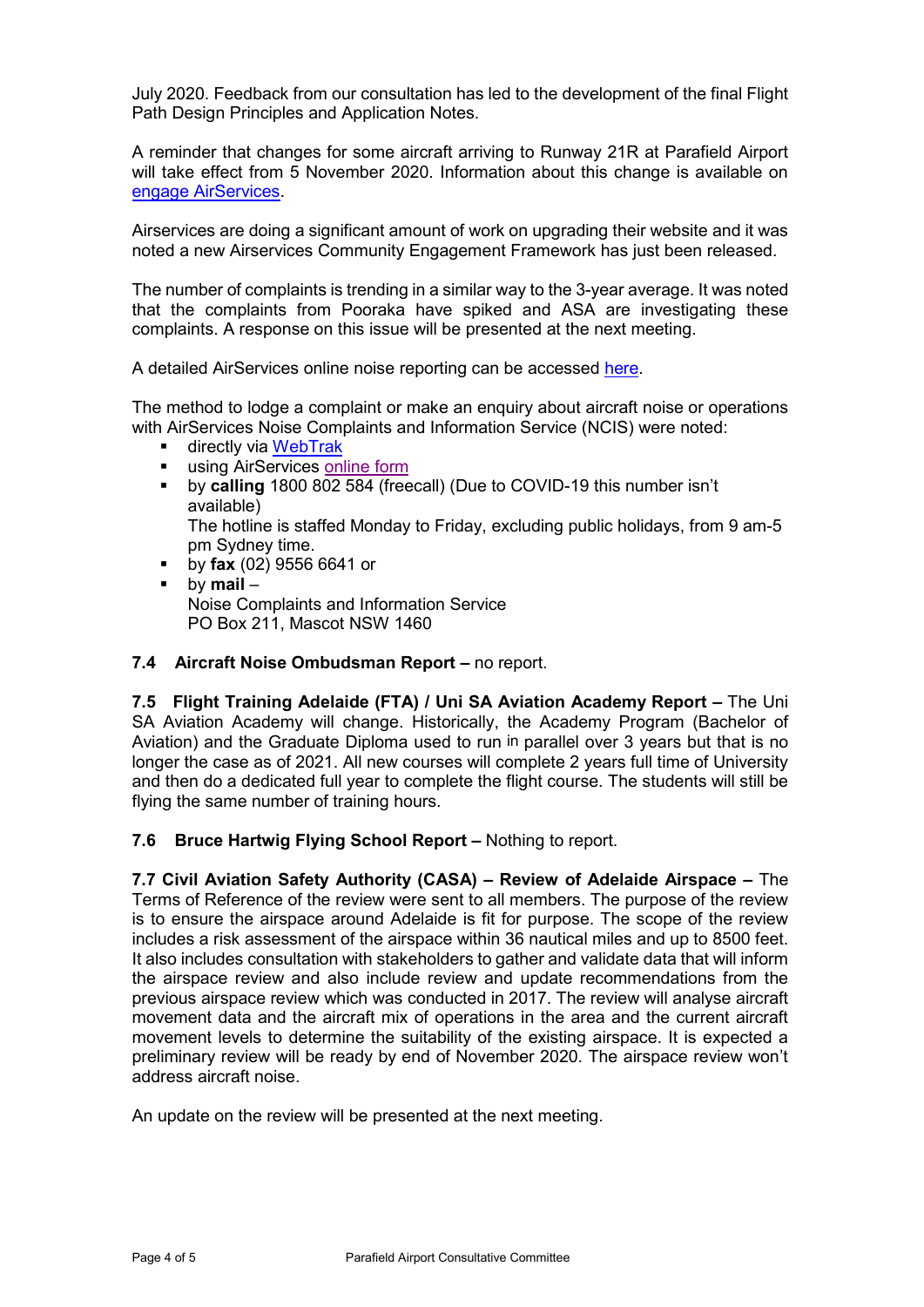July 2020. Feedback from our consultation has led to the development of the final Flight Path Design Principles and Application Notes.

A reminder that changes for some aircraft arriving to Runway 21R at Parafield Airport will take effect from 5 November 2020. Information about this change is available on [engage AirServices.](https://engage.airservicesaustralia.com/parafield-airport-flight-path-change)

Airservices are doing a significant amount of work on upgrading their website and it was noted a new Airservices Community Engagement Framework has just been released.

The number of complaints is trending in a similar way to the 3-year average. It was noted that the complaints from Pooraka have spiked and ASA are investigating these complaints. A response on this issue will be presented at the next meeting.

A detailed AirServices online noise reporting can be accessed [here.](http://www.airservicesaustralia.com/aircraftnoise/airports/)

The method to lodge a complaint or make an enquiry about aircraft noise or operations with AirServices Noise Complaints and Information Service (NCIS) were noted:

- directly via [WebTrak](http://www.airservicesaustralia.com/aircraftnoise/webtrak/)
- **using AirServices [online form](http://www.airservicesaustralia.com/aircraftnoise/about-making-a-complaint/how-to-make-a-complaint/)**
- by **calling** 1800 802 584 (freecall) (Due to COVID-19 this number isn't available)

The hotline is staffed Monday to Friday, excluding public holidays, from 9 am-5 pm Sydney time.

- by **fax** (02) 9556 6641 or
- by **mail** Noise Complaints and Information Service PO Box 211, Mascot NSW 1460

#### **7.4 Aircraft Noise Ombudsman Report –** no report.

**7.5 Flight Training Adelaide (FTA) / Uni SA Aviation Academy Report –** The Uni SA Aviation Academy will change. Historically, the Academy Program (Bachelor of Aviation) and the Graduate Diploma used to run in parallel over 3 years but that is no longer the case as of 2021. All new courses will complete 2 years full time of University and then do a dedicated full year to complete the flight course. The students will still be flying the same number of training hours.

#### **7.6 Bruce Hartwig Flying School Report –** Nothing to report.

**7.7 Civil Aviation Safety Authority (CASA) – Review of Adelaide Airspace –** The Terms of Reference of the review were sent to all members. The purpose of the review is to ensure the airspace around Adelaide is fit for purpose. The scope of the review includes a risk assessment of the airspace within 36 nautical miles and up to 8500 feet. It also includes consultation with stakeholders to gather and validate data that will inform the airspace review and also include review and update recommendations from the previous airspace review which was conducted in 2017. The review will analyse aircraft movement data and the aircraft mix of operations in the area and the current aircraft movement levels to determine the suitability of the existing airspace. It is expected a preliminary review will be ready by end of November 2020. The airspace review won't address aircraft noise.

An update on the review will be presented at the next meeting.